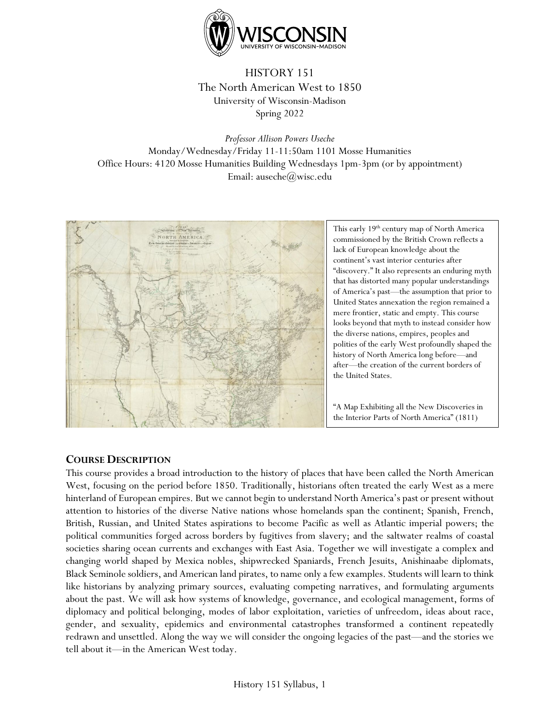

# HISTORY 151 The North American West to 1850 University of Wisconsin-Madison Spring 2022

*Professor Allison Powers Useche* Monday/Wednesday/Friday 11-11:50am 1101 Mosse Humanities Office Hours: 4120 Mosse Humanities Building Wednesdays 1pm-3pm (or by appointment) Email: auseche@wisc.edu



This early 19th century map of North America commissioned by the British Crown reflects a lack of European knowledge about the continent's vast interior centuries after "discovery." It also represents an enduring myth that has distorted many popular understandings of America's past—the assumption that prior to United States annexation the region remained a mere frontier, static and empty. This course looks beyond that myth to instead consider how the diverse nations, empires, peoples and polities of the early West profoundly shaped the history of North America long before—and after—the creation of the current borders of the United States.

"A Map Exhibiting all the New Discoveries in the Interior Parts of North America" (1811)

## **COURSE DESCRIPTION**

This course provides a broad introduction to the history of places that have been called the North American West, focusing on the period before 1850. Traditionally, historians often treated the early West as a mere hinterland of European empires. But we cannot begin to understand North America's past or present without attention to histories of the diverse Native nations whose homelands span the continent; Spanish, French, British, Russian, and United States aspirations to become Pacific as well as Atlantic imperial powers; the political communities forged across borders by fugitives from slavery; and the saltwater realms of coastal societies sharing ocean currents and exchanges with East Asia. Together we will investigate a complex and changing world shaped by Mexica nobles, shipwrecked Spaniards, French Jesuits, Anishinaabe diplomats, Black Seminole soldiers, and American land pirates, to name only a few examples. Students will learn to think like historians by analyzing primary sources, evaluating competing narratives, and formulating arguments about the past. We will ask how systems of knowledge, governance, and ecological management, forms of diplomacy and political belonging, modes of labor exploitation, varieties of unfreedom, ideas about race, gender, and sexuality, epidemics and environmental catastrophes transformed a continent repeatedly redrawn and unsettled. Along the way we will consider the ongoing legacies of the past—and the stories we tell about it—in the American West today.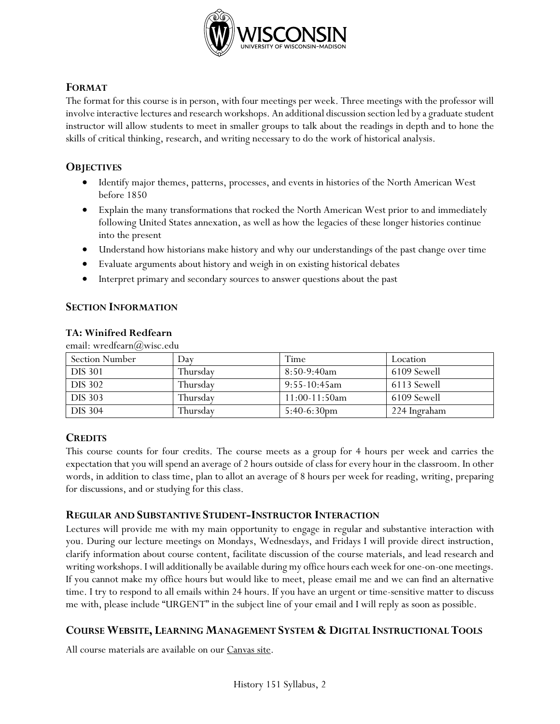

# **FORMAT**

The format for this course is in person, with four meetings per week. Three meetings with the professor will involve interactive lectures and research workshops. An additional discussion section led by a graduate student instructor will allow students to meet in smaller groups to talk about the readings in depth and to hone the skills of critical thinking, research, and writing necessary to do the work of historical analysis.

# **OBJECTIVES**

- Identify major themes, patterns, processes, and events in histories of the North American West before 1850
- Explain the many transformations that rocked the North American West prior to and immediately following United States annexation, as well as how the legacies of these longer histories continue into the present
- Understand how historians make history and why our understandings of the past change over time
- Evaluate arguments about history and weigh in on existing historical debates
- Interpret primary and secondary sources to answer questions about the past

## **SECTION INFORMATION**

#### **TA: Winifred Redfearn**

email: wredfearn@wisc.edu

| <b>Section Number</b> | Day      | Time            | Location     |
|-----------------------|----------|-----------------|--------------|
| <b>DIS 301</b>        | Thursdav | $8:50-9:40am$   | 6109 Sewell  |
| <b>DIS 302</b>        | Thursday | $9:55-10:45$ am | 6113 Sewell  |
| <b>DIS 303</b>        | Thursdav | $11:00-11:50am$ | 6109 Sewell  |
| <b>DIS 304</b>        | Thursdav | $5:40-6:30$ pm  | 224 Ingraham |

## **CREDITS**

This course counts for four credits. The course meets as a group for 4 hours per week and carries the expectation that you will spend an average of 2 hours outside of class for every hour in the classroom. In other words, in addition to class time, plan to allot an average of 8 hours per week for reading, writing, preparing for discussions, and or studying for this class.

## **REGULAR AND SUBSTANTIVE STUDENT-INSTRUCTOR INTERACTION**

Lectures will provide me with my main opportunity to engage in regular and substantive interaction with you. During our lecture meetings on Mondays, Wednesdays, and Fridays I will provide direct instruction, clarify information about course content, facilitate discussion of the course materials, and lead research and writing workshops. I will additionally be available during my office hours each week for one-on-one meetings. If you cannot make my office hours but would like to meet, please email me and we can find an alternative time. I try to respond to all emails within 24 hours. If you have an urgent or time-sensitive matter to discuss me with, please include "URGENT" in the subject line of your email and I will reply as soon as possible.

# **COURSE WEBSITE, LEARNING MANAGEMENT SYSTEM & DIGITAL INSTRUCTIONAL TOOLS**

All course materials are available on our [Canvas site.](https://it.wisc.edu/services/canvas/)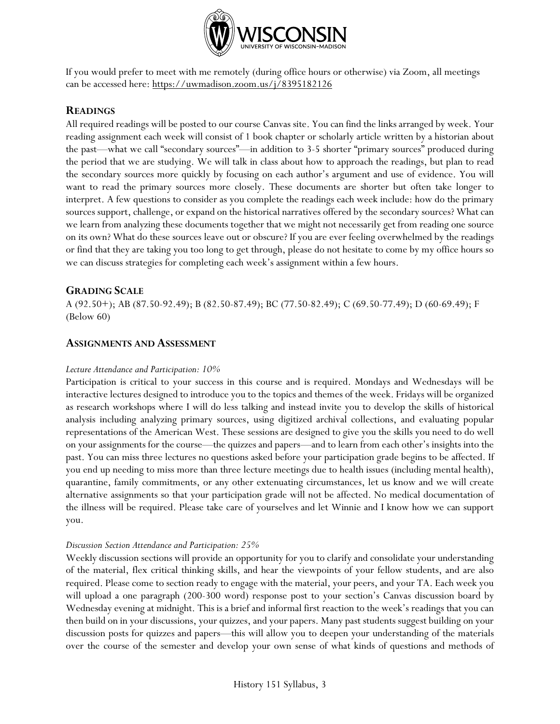

If you would prefer to meet with me remotely (during office hours or otherwise) via Zoom, all meetings can be accessed here:<https://uwmadison.zoom.us/j/8395182126>

### **READINGS**

All required readings will be posted to our course Canvas site. You can find the links arranged by week. Your reading assignment each week will consist of 1 book chapter or scholarly article written by a historian about the past—what we call "secondary sources"—in addition to 3-5 shorter "primary sources" produced during the period that we are studying. We will talk in class about how to approach the readings, but plan to read the secondary sources more quickly by focusing on each author's argument and use of evidence. You will want to read the primary sources more closely. These documents are shorter but often take longer to interpret. A few questions to consider as you complete the readings each week include: how do the primary sources support, challenge, or expand on the historical narratives offered by the secondary sources? What can we learn from analyzing these documents together that we might not necessarily get from reading one source on its own? What do these sources leave out or obscure? If you are ever feeling overwhelmed by the readings or find that they are taking you too long to get through, please do not hesitate to come by my office hours so we can discuss strategies for completing each week's assignment within a few hours.

#### **GRADING SCALE**

A (92.50+); AB (87.50-92.49); B (82.50-87.49); BC (77.50-82.49); C (69.50-77.49); D (60-69.49); F (Below 60)

#### **ASSIGNMENTS AND ASSESSMENT**

#### *Lecture Attendance and Participation: 10%*

Participation is critical to your success in this course and is required. Mondays and Wednesdays will be interactive lectures designed to introduce you to the topics and themes of the week. Fridays will be organized as research workshops where I will do less talking and instead invite you to develop the skills of historical analysis including analyzing primary sources, using digitized archival collections, and evaluating popular representations of the American West. These sessions are designed to give you the skills you need to do well on your assignments for the course—the quizzes and papers—and to learn from each other's insights into the past. You can miss three lectures no questions asked before your participation grade begins to be affected. If you end up needing to miss more than three lecture meetings due to health issues (including mental health), quarantine, family commitments, or any other extenuating circumstances, let us know and we will create alternative assignments so that your participation grade will not be affected. No medical documentation of the illness will be required. Please take care of yourselves and let Winnie and I know how we can support you.

#### *Discussion Section Attendance and Participation: 25%*

Weekly discussion sections will provide an opportunity for you to clarify and consolidate your understanding of the material, flex critical thinking skills, and hear the viewpoints of your fellow students, and are also required. Please come to section ready to engage with the material, your peers, and your TA. Each week you will upload a one paragraph (200-300 word) response post to your section's Canvas discussion board by Wednesday evening at midnight. This is a brief and informal first reaction to the week's readings that you can then build on in your discussions, your quizzes, and your papers. Many past students suggest building on your discussion posts for quizzes and papers—this will allow you to deepen your understanding of the materials over the course of the semester and develop your own sense of what kinds of questions and methods of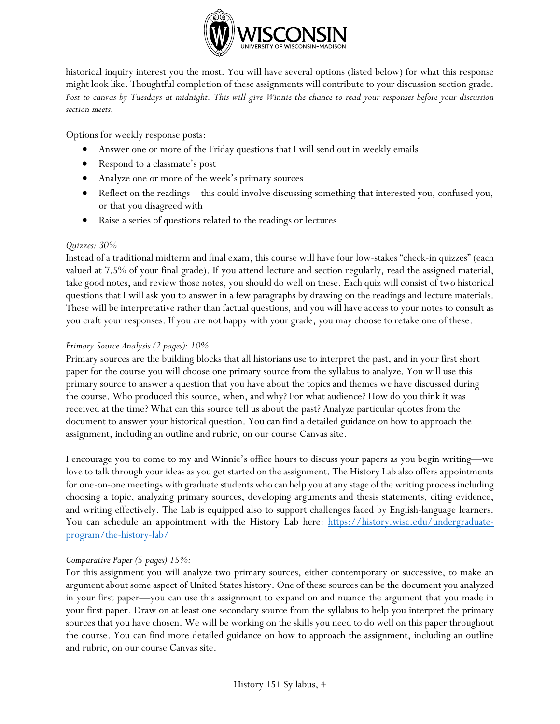

historical inquiry interest you the most. You will have several options (listed below) for what this response might look like. Thoughtful completion of these assignments will contribute to your discussion section grade. *Post to canvas by Tuesdays at midnight. This will give Winnie the chance to read your responses before your discussion section meets.* 

Options for weekly response posts:

- Answer one or more of the Friday questions that I will send out in weekly emails
- Respond to a classmate's post
- Analyze one or more of the week's primary sources
- Reflect on the readings—this could involve discussing something that interested you, confused you, or that you disagreed with
- Raise a series of questions related to the readings or lectures

#### *Quizzes: 30%*

Instead of a traditional midterm and final exam, this course will have four low-stakes "check-in quizzes" (each valued at 7.5% of your final grade). If you attend lecture and section regularly, read the assigned material, take good notes, and review those notes, you should do well on these. Each quiz will consist of two historical questions that I will ask you to answer in a few paragraphs by drawing on the readings and lecture materials. These will be interpretative rather than factual questions, and you will have access to your notes to consult as you craft your responses. If you are not happy with your grade, you may choose to retake one of these.

## *Primary Source Analysis (2 pages): 10%*

Primary sources are the building blocks that all historians use to interpret the past, and in your first short paper for the course you will choose one primary source from the syllabus to analyze. You will use this primary source to answer a question that you have about the topics and themes we have discussed during the course. Who produced this source, when, and why? For what audience? How do you think it was received at the time? What can this source tell us about the past? Analyze particular quotes from the document to answer your historical question. You can find a detailed guidance on how to approach the assignment, including an outline and rubric, on our course Canvas site.

I encourage you to come to my and Winnie's office hours to discuss your papers as you begin writing—we love to talk through your ideas as you get started on the assignment. The History Lab also offers appointments for one-on-one meetings with graduate students who can help you at any stage of the writing process including choosing a topic, analyzing primary sources, developing arguments and thesis statements, citing evidence, and writing effectively. The Lab is equipped also to support challenges faced by English-language learners. You can schedule an appointment with the History Lab here: [https://history.wisc.edu/undergraduate](https://history.wisc.edu/undergraduate-program/the-history-lab/)[program/the-history-lab/](https://history.wisc.edu/undergraduate-program/the-history-lab/)

## *Comparative Paper (5 pages) 15%:*

For this assignment you will analyze two primary sources, either contemporary or successive, to make an argument about some aspect of United States history. One of these sources can be the document you analyzed in your first paper—you can use this assignment to expand on and nuance the argument that you made in your first paper. Draw on at least one secondary source from the syllabus to help you interpret the primary sources that you have chosen. We will be working on the skills you need to do well on this paper throughout the course. You can find more detailed guidance on how to approach the assignment, including an outline and rubric, on our course Canvas site.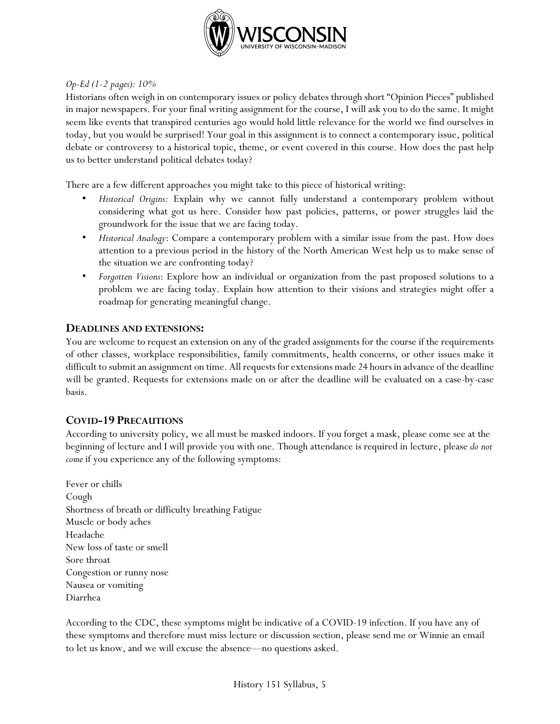

## *Op-Ed (1-2 pages): 10%*

Historians often weigh in on contemporary issues or policy debates through short "Opinion Pieces" published in major newspapers. For your final writing assignment for the course, I will ask you to do the same. It might seem like events that transpired centuries ago would hold little relevance for the world we find ourselves in today, but you would be surprised! Your goal in this assignment is to connect a contemporary issue, political debate or controversy to a historical topic, theme, or event covered in this course. How does the past help us to better understand political debates today?

There are a few different approaches you might take to this piece of historical writing:

- *Historical Origins:* Explain why we cannot fully understand a contemporary problem without considering what got us here. Consider how past policies, patterns, or power struggles laid the groundwork for the issue that we are facing today.
- *Historical Analogy*: Compare a contemporary problem with a similar issue from the past. How does attention to a previous period in the history of the North American West help us to make sense of the situation we are confronting today?
- *Forgotten Visions*: Explore how an individual or organization from the past proposed solutions to a problem we are facing today. Explain how attention to their visions and strategies might offer a roadmap for generating meaningful change.

### **DEADLINES AND EXTENSIONS:**

You are welcome to request an extension on any of the graded assignments for the course if the requirements of other classes, workplace responsibilities, family commitments, health concerns, or other issues make it difficult to submit an assignment on time. All requests for extensions made 24 hours in advance of the deadline will be granted. Requests for extensions made on or after the deadline will be evaluated on a case-by-case basis.

## **COVID-19 PRECAUTIONS**

According to university policy, we all must be masked indoors. If you forget a mask, please come see at the beginning of lecture and I will provide you with one. Though attendance is required in lecture, please *do not come* if you experience any of the following symptoms:

Fever or chills Cough Shortness of breath or difficulty breathing Fatigue Muscle or body aches Headache New loss of taste or smell Sore throat Congestion or runny nose Nausea or vomiting Diarrhea

According to the CDC, these symptoms might be indicative of a COVID-19 infection. If you have any of these symptoms and therefore must miss lecture or discussion section, please send me or Winnie an email to let us know, and we will excuse the absence—no questions asked.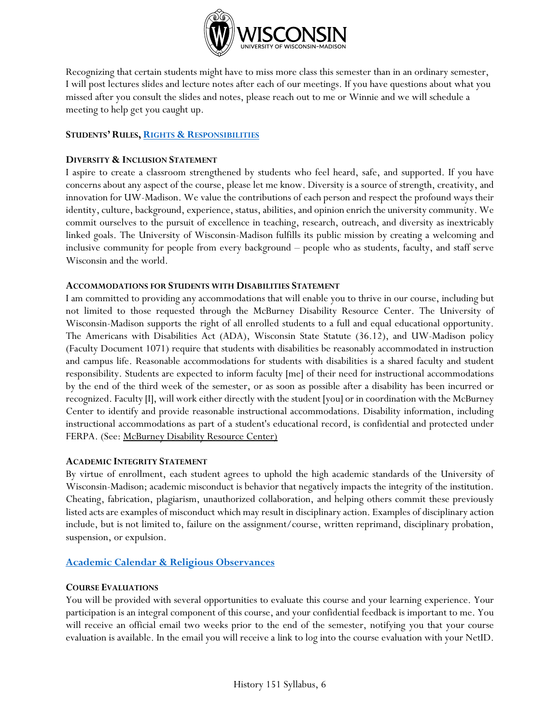

Recognizing that certain students might have to miss more class this semester than in an ordinary semester, I will post lectures slides and lecture notes after each of our meetings. If you have questions about what you missed after you consult the slides and notes, please reach out to me or Winnie and we will schedule a meeting to help get you caught up.

#### **STUDENTS' RULES, RIGHTS & [RESPONSIBILITIES](https://guide.wisc.edu/undergraduate/#rulesrightsandresponsibilitiestext)**

#### **DIVERSITY & INCLUSION STATEMENT**

I aspire to create a classroom strengthened by students who feel heard, safe, and supported. If you have concerns about any aspect of the course, please let me know. Diversity is a source of strength, creativity, and innovation for UW-Madison. We value the contributions of each person and respect the profound ways their identity, culture, background, experience, status, abilities, and opinion enrich the university community. We commit ourselves to the pursuit of excellence in teaching, research, outreach, and diversity as inextricably linked goals. The University of Wisconsin-Madison fulfills its public mission by creating a welcoming and inclusive community for people from every background – people who as students, faculty, and staff serve Wisconsin and the world.

#### **ACCOMMODATIONS FOR STUDENTS WITH DISABILITIES STATEMENT**

I am committed to providing any accommodations that will enable you to thrive in our course, including but not limited to those requested through the McBurney Disability Resource Center. The University of Wisconsin-Madison supports the right of all enrolled students to a full and equal educational opportunity. The Americans with Disabilities Act (ADA), Wisconsin State Statute (36.12), and UW-Madison policy (Faculty Document 1071) require that students with disabilities be reasonably accommodated in instruction and campus life. Reasonable accommodations for students with disabilities is a shared faculty and student responsibility. Students are expected to inform faculty [me] of their need for instructional accommodations by the end of the third week of the semester, or as soon as possible after a disability has been incurred or recognized. Faculty [I], will work either directly with the student [you] or in coordination with the McBurney Center to identify and provide reasonable instructional accommodations. Disability information, including instructional accommodations as part of a student's educational record, is confidential and protected under FERPA. (See: [McBurney Disability Resource Center\)](https://mcburney.wisc.edu/)

#### **ACADEMIC INTEGRITY STATEMENT**

By virtue of enrollment, each student agrees to uphold the high academic standards of the University of Wisconsin-Madison; academic misconduct is behavior that negatively impacts the integrity of the institution. Cheating, fabrication, plagiarism, unauthorized collaboration, and helping others commit these previously listed acts are examples of misconduct which may result in disciplinary action. Examples of disciplinary action include, but is not limited to, failure on the assignment/course, written reprimand, disciplinary probation, suspension, or expulsion.

#### **[Academic Calendar & Religious Observances](https://secfac.wisc.edu/academic-calendar/)**

#### **COURSE EVALUATIONS**

You will be provided with several opportunities to evaluate this course and your learning experience. Your participation is an integral component of this course, and your confidential feedback is important to me. You will receive an official email two weeks prior to the end of the semester, notifying you that your course evaluation is available. In the email you will receive a link to log into the course evaluation with your NetID.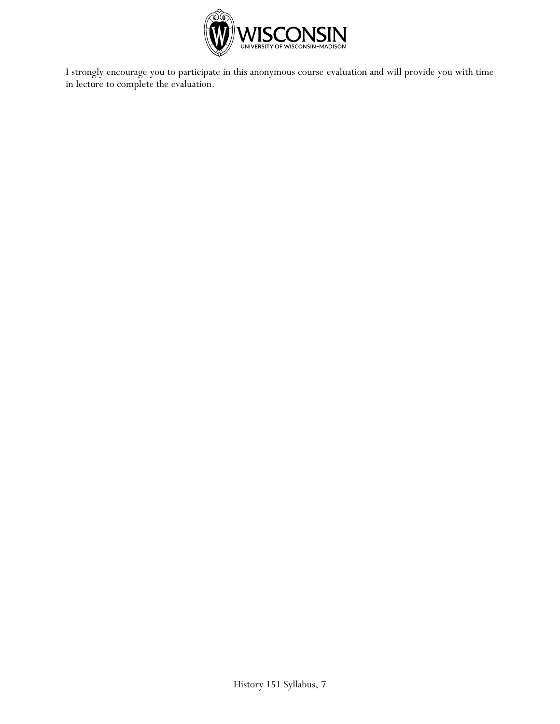

I strongly encourage you to participate in this anonymous course evaluation and will provide you with time in lecture to complete the evaluation.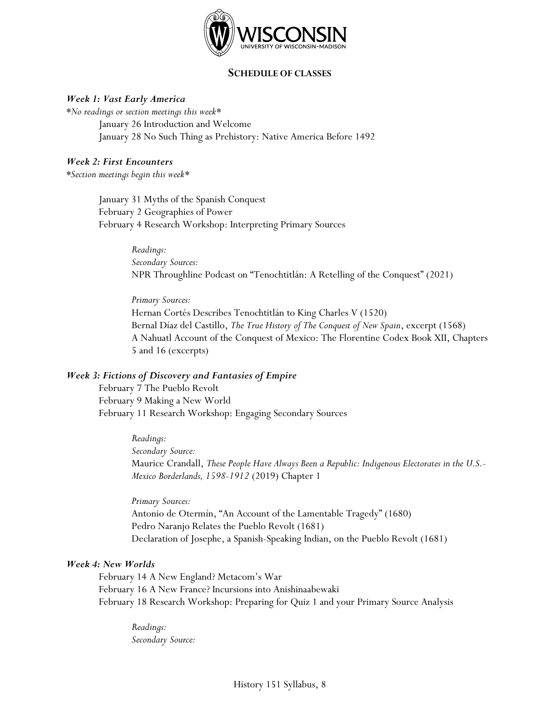

### **SCHEDULE OF CLASSES**

### *Week 1: Vast Early America*

*\*No readings or section meetings this week\** January 26 Introduction and Welcome January 28 No Such Thing as Prehistory: Native America Before 1492

### *Week 2: First Encounters*

*\*Section meetings begin this week\**

January 31 Myths of the Spanish Conquest February 2 Geographies of Power February 4 Research Workshop: Interpreting Primary Sources

> *Readings: Secondary Sources:* NPR Throughline Podcast on "Tenochtitlán: A Retelling of the Conquest" (2021)

*Primary Sources:* Hernan Cortés Describes Tenochtitlán to King Charles V (1520) Bernal Díaz del Castillo, *The True History of The Conquest of New Spain*, excerpt (1568) A Nahuatl Account of the Conquest of Mexico: The Florentine Codex Book XII, Chapters 5 and 16 (excerpts)

#### *Week 3: Fictions of Discovery and Fantasies of Empire*

February 7 The Pueblo Revolt February 9 Making a New World February 11 Research Workshop: Engaging Secondary Sources

> *Readings: Secondary Source:* Maurice Crandall, *These People Have Always Been a Republic: Indigenous Electorates in the U.S.- Mexico Borderlands, 1598-1912* (2019) Chapter 1

*Primary Sources:* Antonio de Otermín, "An Account of the Lamentable Tragedy" (1680) Pedro Naranjo Relates the Pueblo Revolt (1681) Declaration of Josephe, a Spanish-Speaking Indian, on the Pueblo Revolt (1681)

#### *Week 4: New Worlds*

February 14 A New England? Metacom's War February 16 A New France? Incursions into Anishinaabewaki February 18 Research Workshop: Preparing for Quiz 1 and your Primary Source Analysis

*Readings: Secondary Source:*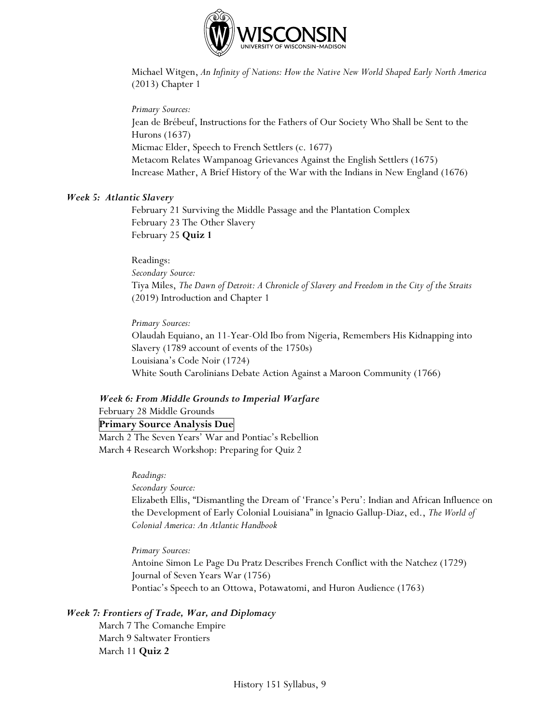

Michael Witgen, *An Infinity of Nations: How the Native New World Shaped Early North America* (2013) Chapter 1

*Primary Sources:*

Jean de Brébeuf, Instructions for the Fathers of Our Society Who Shall be Sent to the Hurons (1637) Micmac Elder, Speech to French Settlers (c. 1677) Metacom Relates Wampanoag Grievances Against the English Settlers (1675) Increase Mather, A Brief History of the War with the Indians in New England (1676)

#### *Week 5: Atlantic Slavery*

February 21 Surviving the Middle Passage and the Plantation Complex February 23 The Other Slavery February 25 **Quiz 1**

Readings:

*Secondary Source:*

Tiya Miles, *The Dawn of Detroit: A Chronicle of Slavery and Freedom in the City of the Straits*  (2019) Introduction and Chapter 1

*Primary Sources:*

Olaudah Equiano, an 11-Year-Old Ibo from Nigeria, Remembers His Kidnapping into Slavery (1789 account of events of the 1750s) Louisiana's Code Noir (1724) White South Carolinians Debate Action Against a Maroon Community (1766)

#### *Week 6: From Middle Grounds to Imperial Warfare*

February 28 Middle Grounds

#### **Primary Source Analysis Due**

March 2 The Seven Years' War and Pontiac's Rebellion March 4 Research Workshop: Preparing for Quiz 2

*Readings:*

*Secondary Source:* 

Elizabeth Ellis, "Dismantling the Dream of 'France's Peru': Indian and African Influence on the Development of Early Colonial Louisiana" in Ignacio Gallup-Diaz, ed., *The World of Colonial America: An Atlantic Handbook*

*Primary Sources:* Antoine Simon Le Page Du Pratz Describes French Conflict with the Natchez (1729) Journal of Seven Years War (1756) Pontiac's Speech to an Ottowa, Potawatomi, and Huron Audience (1763)

#### *Week 7: Frontiers of Trade, War, and Diplomacy*

March 7 The Comanche Empire March 9 Saltwater Frontiers March 11 **Quiz 2**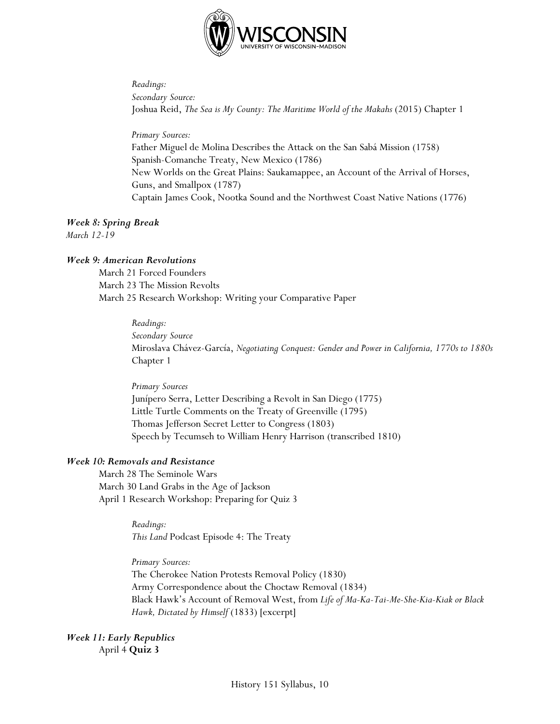

*Readings: Secondary Source:* Joshua Reid, *The Sea is My County: The Maritime World of the Makahs* (2015) Chapter 1

*Primary Sources:* Father Miguel de Molina Describes the Attack on the San Sabá Mission (1758) Spanish-Comanche Treaty, New Mexico (1786) New Worlds on the Great Plains: Saukamappee, an Account of the Arrival of Horses, Guns, and Smallpox (1787) Captain James Cook, Nootka Sound and the Northwest Coast Native Nations (1776)

#### *Week 8: Spring Break*

*March 12-19*

#### *Week 9: American Revolutions*

March 21 Forced Founders March 23 The Mission Revolts March 25 Research Workshop: Writing your Comparative Paper

> *Readings: Secondary Source* Miroslava Chávez-García, *Negotiating Conquest: Gender and Power in California, 1770s to 1880s*  Chapter 1

*Primary Sources* Junípero Serra, Letter Describing a Revolt in San Diego (1775) Little Turtle Comments on the Treaty of Greenville (1795) Thomas Jefferson Secret Letter to Congress (1803) Speech by Tecumseh to William Henry Harrison (transcribed 1810)

#### *Week 10: Removals and Resistance*

March 28 The Seminole Wars March 30 Land Grabs in the Age of Jackson April 1 Research Workshop: Preparing for Quiz 3

> *Readings: This Land* Podcast Episode 4: The Treaty

*Primary Sources:*

The Cherokee Nation Protests Removal Policy (1830) Army Correspondence about the Choctaw Removal (1834) Black Hawk's Account of Removal West, from *Life of Ma-Ka-Tai-Me-She-Kia-Kiak or Black Hawk, Dictated by Himself* (1833) [excerpt]

*Week 11: Early Republics* April 4 **Quiz 3**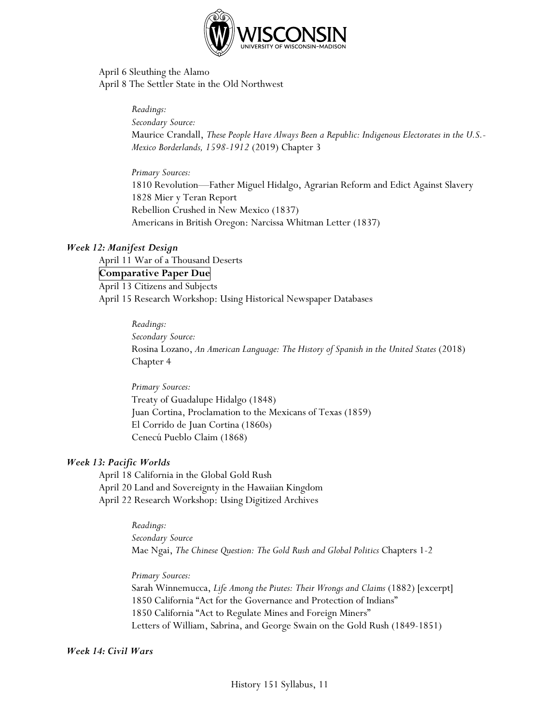

April 6 Sleuthing the Alamo April 8 The Settler State in the Old Northwest

> *Readings: Secondary Source:*  Maurice Crandall, *These People Have Always Been a Republic: Indigenous Electorates in the U.S.- Mexico Borderlands, 1598-1912* (2019) Chapter 3

*Primary Sources:* 1810 Revolution—Father Miguel Hidalgo, Agrarian Reform and Edict Against Slavery 1828 Mier y Teran Report Rebellion Crushed in New Mexico (1837) Americans in British Oregon: Narcissa Whitman Letter (1837)

#### *Week 12: Manifest Design*

April 11 War of a Thousand Deserts

#### **Comparative Paper Due**

April 13 Citizens and Subjects April 15 Research Workshop: Using Historical Newspaper Databases

> *Readings: Secondary Source:* Rosina Lozano, *An American Language: The History of Spanish in the United States* (2018) Chapter 4

*Primary Sources:* Treaty of Guadalupe Hidalgo (1848) Juan Cortina, Proclamation to the Mexicans of Texas (1859) El Corrido de Juan Cortina (1860s) Cenecú Pueblo Claim (1868)

#### *Week 13: Pacific Worlds*

April 18 California in the Global Gold Rush April 20 Land and Sovereignty in the Hawaiian Kingdom April 22 Research Workshop: Using Digitized Archives

> *Readings: Secondary Source* Mae Ngai, *The Chinese Question: The Gold Rush and Global Politics* Chapters 1-2

#### *Primary Sources:*

Sarah Winnemucca, *Life Among the Piutes: Their Wrongs and Claims* (1882) [excerpt] 1850 California "Act for the Governance and Protection of Indians" 1850 California "Act to Regulate Mines and Foreign Miners" Letters of William, Sabrina, and George Swain on the Gold Rush (1849-1851)

#### *Week 14: Civil Wars*